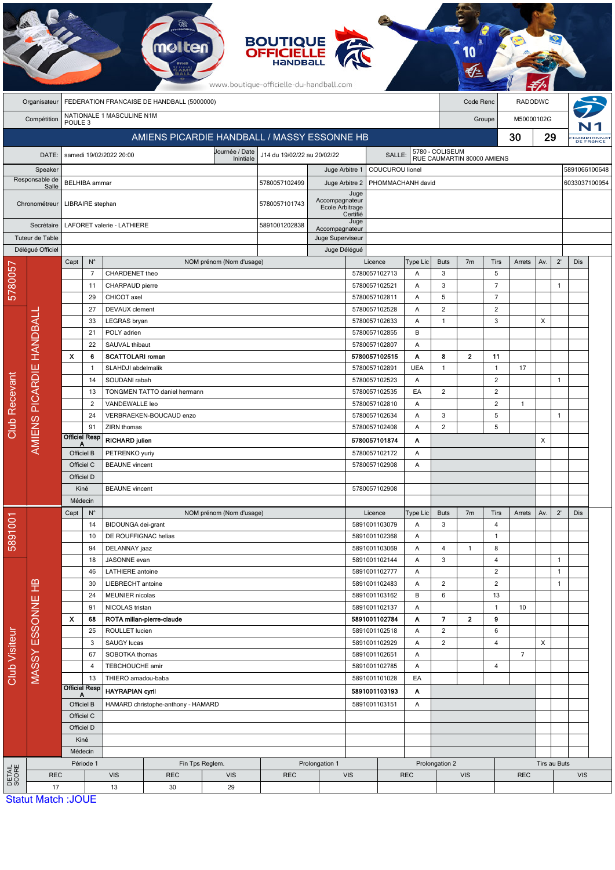|                 |                        |                           |                           |                                     |                                             |                          | <b>BOUTIQUE<br/>OFFICIELLE</b><br>www.boutique-officielle-du-handball.com |                                    |                    |                                |            |                                               |                                |                                  |                |              |                     |               |                         |                                |  |  |
|-----------------|------------------------|---------------------------|---------------------------|-------------------------------------|---------------------------------------------|--------------------------|---------------------------------------------------------------------------|------------------------------------|--------------------|--------------------------------|------------|-----------------------------------------------|--------------------------------|----------------------------------|----------------|--------------|---------------------|---------------|-------------------------|--------------------------------|--|--|
|                 | Organisateur           |                           |                           |                                     | FEDERATION FRANCAISE DE HANDBALL (5000000)  |                          |                                                                           |                                    |                    |                                |            |                                               | Code Renc                      |                                  | <b>RADODWC</b> |              |                     |               |                         |                                |  |  |
|                 | Compétition            | POULE <sub>3</sub>        |                           | NATIONALE 1 MASCULINE N1M           |                                             |                          |                                                                           |                                    |                    |                                |            |                                               |                                | Groupe                           | M50000102G     |              |                     |               |                         |                                |  |  |
|                 |                        |                           |                           |                                     | AMIENS PICARDIE HANDBALL / MASSY ESSONNE HB |                          |                                                                           |                                    |                    |                                |            |                                               |                                |                                  | 30             | 29           |                     |               | HaMPIONNAT<br>DE FRANCE |                                |  |  |
|                 | DATE:                  |                           |                           | samedi 19/02/2022 20:00             |                                             | Journée / Date           | J14 du 19/02/22 au 20/02/22                                               |                                    |                    | <b>SALLE:</b>                  |            | 5780 - COLISEUM<br>RUE CAUMARTIN 80000 AMIENS |                                |                                  |                |              |                     |               |                         |                                |  |  |
|                 | Speaker                |                           |                           |                                     |                                             | Inintiale                |                                                                           | Juge Arbitre 1                     |                    | COUCUROU lionel                |            |                                               |                                |                                  |                |              |                     | 5891066100648 |                         |                                |  |  |
|                 | Responsable de         |                           | <b>BELHIBA</b> ammar      |                                     |                                             |                          | 5780057102499                                                             | Juge Arbitre 2                     |                    | PHOMMACHANH david              |            |                                               |                                |                                  |                |              |                     | 6033037100954 |                         |                                |  |  |
|                 | Salle                  |                           |                           |                                     |                                             |                          |                                                                           |                                    | Juge               |                                |            |                                               |                                |                                  |                |              |                     |               |                         |                                |  |  |
|                 | Chronométreur          |                           | LIBRAIRE stephan          |                                     |                                             |                          | 5780057101743                                                             | Accompagnateur<br>Ecole Arbitrage  | Certifié           |                                |            |                                               |                                |                                  |                |              |                     |               |                         |                                |  |  |
|                 | Secrétaire             |                           |                           | LAFORET valerie - LATHIERE          |                                             |                          | 5891001202838                                                             |                                    | Juge               |                                |            |                                               |                                |                                  |                |              |                     |               |                         |                                |  |  |
|                 | Tuteur de Table        |                           |                           |                                     |                                             |                          |                                                                           | Accompagnateur<br>Juge Superviseur |                    |                                |            |                                               |                                |                                  |                |              |                     |               |                         |                                |  |  |
|                 | Délégué Officiel       |                           |                           |                                     |                                             |                          |                                                                           | Juge Délégué                       |                    |                                |            |                                               |                                |                                  |                |              |                     |               |                         |                                |  |  |
|                 |                        | Capt                      | $N^{\circ}$               |                                     |                                             | NOM prénom (Nom d'usage) |                                                                           |                                    |                    | Licence                        | Type Lic   | <b>Buts</b>                                   | 7 <sub>m</sub>                 | Tirs                             | Arrets         | Av.          | $2^{\prime}$        | Dis           |                         |                                |  |  |
| 5780057         |                        |                           | $\overline{7}$<br>11      | CHARDENET theo<br>CHARPAUD pierre   |                                             |                          |                                                                           |                                    |                    | 5780057102713<br>5780057102521 | Α<br>Α     | 3<br>3                                        |                                | 5<br>$\overline{7}$              |                |              | $\mathbf{1}$        |               |                         |                                |  |  |
|                 |                        |                           | 29                        | CHICOT axel                         |                                             |                          |                                                                           |                                    |                    | 5780057102811                  | Α          | 5                                             |                                | $\overline{7}$                   |                |              |                     |               |                         |                                |  |  |
|                 |                        |                           | 27                        | <b>DEVAUX</b> clement               |                                             |                          |                                                                           |                                    |                    | 5780057102528                  | A          | $\overline{2}$                                |                                | $\overline{2}$                   |                |              |                     |               |                         |                                |  |  |
|                 |                        |                           | 33                        | LEGRAS bryan                        |                                             |                          |                                                                           |                                    |                    | 5780057102633                  | A          | 1                                             |                                | 3                                |                | X            |                     |               |                         |                                |  |  |
|                 |                        |                           | 21                        | POLY adrien                         |                                             |                          |                                                                           |                                    |                    | 5780057102855                  | B          |                                               |                                |                                  |                |              |                     |               |                         |                                |  |  |
|                 | <b>HANDBALI</b>        |                           | 22                        | SAUVAL thibaut                      |                                             |                          |                                                                           |                                    |                    | 5780057102807                  | Α          |                                               |                                |                                  |                |              |                     |               |                         |                                |  |  |
|                 |                        | $\boldsymbol{\mathsf{x}}$ | 6                         | <b>SCATTOLARI</b> roman             |                                             |                          |                                                                           |                                    |                    | 5780057102515                  | Α          | 8                                             | $\overline{\mathbf{2}}$        | 11                               |                |              |                     |               |                         |                                |  |  |
|                 |                        |                           | -1                        | SLAHDJI abdelmalik<br>SOUDANI rabah |                                             |                          |                                                                           |                                    |                    | 5780057102891                  | <b>UEA</b> | 1                                             |                                | $\overline{1}$                   | 17             |              | $\overline{1}$      |               |                         |                                |  |  |
|                 |                        |                           | 14<br>13                  |                                     | TONGMEN TATTO daniel hermann                |                          |                                                                           |                                    |                    | 5780057102523<br>5780057102535 | A<br>EA    | $\overline{\mathbf{c}}$                       |                                | $\overline{2}$<br>$\overline{c}$ |                |              |                     |               |                         |                                |  |  |
| Recevant        | <b>AMIENS PICARDIE</b> |                           | $\overline{c}$            | VANDEWALLE leo                      |                                             |                          |                                                                           |                                    |                    | 5780057102810                  | Α          |                                               |                                | 2                                | $\overline{1}$ |              |                     |               |                         |                                |  |  |
|                 |                        |                           | 24                        |                                     | VERBRAEKEN-BOUCAUD enzo                     |                          |                                                                           |                                    |                    | 5780057102634                  | Α          | 3                                             |                                | 5                                |                |              | $\overline{1}$      |               |                         |                                |  |  |
| Club            |                        |                           | 91                        | ZIRN thomas                         |                                             |                          |                                                                           |                                    |                    | 5780057102408                  | A          | $\overline{2}$                                |                                | 5                                |                |              |                     |               |                         |                                |  |  |
|                 |                        |                           | <b>Officiel Resp</b><br>Α | <b>RICHARD julien</b>               |                                             |                          |                                                                           |                                    |                    | 5780057101874                  | Α          |                                               |                                |                                  |                | X            |                     |               |                         |                                |  |  |
|                 |                        |                           | Officiel B                | PETRENKO yuriy                      |                                             |                          |                                                                           |                                    |                    | 5780057102172                  | Α          |                                               |                                |                                  |                |              |                     |               |                         |                                |  |  |
|                 |                        |                           | Officiel C                | <b>BEAUNE</b> vincent               |                                             |                          |                                                                           |                                    | 5780057102908<br>Α |                                |            |                                               |                                |                                  |                |              |                     |               |                         |                                |  |  |
|                 |                        | Officiel D<br>Kiné        |                           | <b>BEAUNE</b> vincent               |                                             |                          |                                                                           |                                    |                    |                                |            |                                               |                                |                                  |                |              |                     |               |                         |                                |  |  |
|                 |                        |                           | Médecin                   |                                     |                                             |                          |                                                                           |                                    |                    | 5780057102908                  |            |                                               |                                |                                  |                |              |                     |               |                         |                                |  |  |
|                 |                        | Capt                      | $N^{\circ}$               |                                     |                                             | NOM prénom (Nom d'usage) |                                                                           |                                    |                    | Licence                        | Type Lic   | <b>Buts</b>                                   | 7 <sub>m</sub>                 | Tirs                             | Arrets         | Av.          | $2^{\prime}$        | Dis           |                         |                                |  |  |
| 5891001         |                        |                           | 14                        | BIDOUNGA dei-grant                  |                                             |                          |                                                                           |                                    |                    | 5891001103079                  | Α          | 3                                             |                                | $\overline{4}$                   |                |              |                     |               |                         |                                |  |  |
|                 |                        |                           | 10                        | DE ROUFFIGNAC helias                |                                             |                          |                                                                           |                                    |                    | 5891001102368                  | A          |                                               |                                | $\overline{1}$                   |                |              |                     |               |                         |                                |  |  |
|                 |                        |                           | 94                        | DELANNAY jaaz                       |                                             |                          |                                                                           |                                    |                    | 5891001103069                  | Α          | 4                                             | $\mathbf{1}$                   | 8                                |                |              |                     |               |                         |                                |  |  |
|                 | MASSY ESSONNE HB       |                           |                           |                                     |                                             | 18                       | JASONNE evan                                                              |                                    |                    |                                |            |                                               | 5891001102144                  | Α                                | 3              |              | 4                   |               |                         | $\mathbf{1}$                   |  |  |
|                 |                        |                           |                           |                                     |                                             | 46<br>30                 | <b>LATHIERE</b> antoine<br>LIEBRECHT antoine                              |                                    |                    |                                |            |                                               | 5891001102777<br>5891001102483 | Α<br>Α                           | $\overline{c}$ |              | $\overline{2}$<br>2 |               |                         | $\mathbf{1}$<br>$\overline{1}$ |  |  |
|                 |                        |                           | 24                        | MEUNIER nicolas                     |                                             |                          |                                                                           |                                    |                    | 5891001103162                  | B          | 6                                             |                                | 13                               |                |              |                     |               |                         |                                |  |  |
|                 |                        |                           | 91                        | NICOLAS tristan                     |                                             |                          |                                                                           |                                    |                    | 5891001102137                  | Α          |                                               |                                | $\overline{1}$                   | 10             |              |                     |               |                         |                                |  |  |
|                 |                        | x                         | 68                        |                                     | ROTA millan-pierre-claude                   |                          |                                                                           |                                    |                    | 5891001102784                  | Α          | $\overline{\phantom{a}}$                      | $\mathbf{2}$                   | 9                                |                |              |                     |               |                         |                                |  |  |
|                 |                        |                           | 25                        | ROULLET lucien                      |                                             |                          |                                                                           |                                    |                    | 5891001102518                  | Α          | $\overline{c}$                                |                                | 6                                |                |              |                     |               |                         |                                |  |  |
|                 |                        |                           | 3<br>67                   | SAUGY lucas<br>SOBOTKA thomas       |                                             |                          |                                                                           |                                    |                    | 5891001102929<br>5891001102651 | Α<br>Α     | $\overline{a}$                                |                                | 4                                | $\overline{7}$ | X            |                     |               |                         |                                |  |  |
|                 |                        |                           | 4                         | TEBCHOUCHE amir                     |                                             |                          |                                                                           |                                    |                    | 5891001102785                  | Α          |                                               |                                | 4                                |                |              |                     |               |                         |                                |  |  |
| Club Visiteur   |                        |                           | 13                        | THIERO amadou-baba                  |                                             |                          |                                                                           |                                    |                    | 5891001101028                  | EA         |                                               |                                |                                  |                |              |                     |               |                         |                                |  |  |
|                 |                        |                           | <b>Officiel Resp</b><br>Α | <b>HAYRAPIAN cyril</b>              |                                             |                          |                                                                           | 5891001103193<br>Α                 |                    |                                |            |                                               |                                |                                  |                |              |                     |               |                         |                                |  |  |
|                 |                        |                           | Officiel B                |                                     | HAMARD christophe-anthony - HAMARD          |                          |                                                                           |                                    | 5891001103151<br>Α |                                |            |                                               |                                |                                  |                |              |                     |               |                         |                                |  |  |
|                 |                        |                           | Officiel C                |                                     |                                             |                          |                                                                           |                                    |                    |                                |            |                                               |                                |                                  |                |              |                     |               |                         |                                |  |  |
|                 |                        |                           | Officiel D                |                                     |                                             |                          |                                                                           |                                    |                    |                                |            |                                               |                                |                                  |                |              |                     |               |                         |                                |  |  |
|                 |                        |                           | Kiné                      |                                     |                                             |                          |                                                                           |                                    |                    |                                |            |                                               |                                |                                  |                |              |                     |               |                         |                                |  |  |
|                 |                        |                           | Médecin<br>Période 1      |                                     |                                             | Fin Tps Reglem.          |                                                                           | Prolongation 1                     |                    |                                |            | Prolongation 2                                |                                |                                  |                | Tirs au Buts |                     |               |                         |                                |  |  |
| DETAIL<br>SCORE | <b>REC</b>             |                           |                           | <b>VIS</b>                          | <b>REC</b>                                  | <b>VIS</b>               | <b>REC</b>                                                                |                                    | <b>VIS</b>         |                                | <b>REC</b> |                                               | <b>VIS</b>                     |                                  | <b>REC</b>     |              |                     | <b>VIS</b>    |                         |                                |  |  |
|                 | 17                     |                           |                           | 13                                  | 30                                          | 29                       |                                                                           |                                    |                    |                                |            |                                               |                                |                                  |                |              |                     |               |                         |                                |  |  |
|                 |                        | Statut Match : IOLIE      |                           |                                     |                                             |                          |                                                                           |                                    |                    |                                |            |                                               |                                |                                  |                |              |                     |               |                         |                                |  |  |

tut Match :JOUE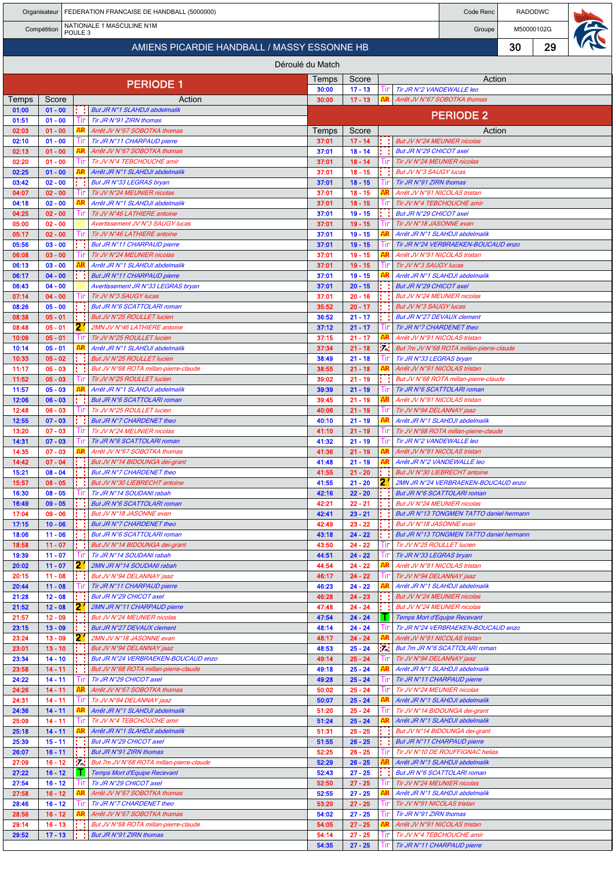|                |                        |                    | Organisateur   FEDERATION FRANCAISE DE HANDBALL (5000000)           | Code Renc        | <b>RADODWC</b>         |                  |                                                            |                                                                    |    |            |  |  |  |  |
|----------------|------------------------|--------------------|---------------------------------------------------------------------|------------------|------------------------|------------------|------------------------------------------------------------|--------------------------------------------------------------------|----|------------|--|--|--|--|
|                | Compétition            | POULE <sub>3</sub> | NATIONALE 1 MASCULINE N1M                                           |                  |                        |                  |                                                            | Groupe                                                             |    | M50000102G |  |  |  |  |
|                |                        |                    | AMIENS PICARDIE HANDBALL / MASSY ESSONNE HB                         |                  |                        |                  |                                                            |                                                                    | 30 | 29         |  |  |  |  |
|                |                        |                    |                                                                     | Déroulé du Match |                        |                  |                                                            |                                                                    |    |            |  |  |  |  |
|                |                        |                    |                                                                     | Temps            | Score                  |                  |                                                            | Action                                                             |    |            |  |  |  |  |
|                |                        |                    | <b>PERIODE 1</b>                                                    | 30:00            | $17 - 13$              |                  | Tir JR N°2 VANDEWALLE leo                                  |                                                                    |    |            |  |  |  |  |
| Temps<br>01:00 | Score<br>$01 - 00$     |                    | Action<br>But JR N°1 SLAHDJI abdelmalik                             | 30:00            | $17 - 13$              |                  |                                                            | Arrêt JV N°67 SOBOTKA thomas                                       |    |            |  |  |  |  |
| 01:51          | $01 - 00$              |                    | Tir JR N°91 ZIRN thomas                                             |                  |                        |                  |                                                            | <b>PERIODE 2</b>                                                   |    |            |  |  |  |  |
| 02:03          | $01 - 00$              |                    | Arrêt JV N°67 SOBOTKA thomas                                        | Temps            | Score                  |                  |                                                            | Action                                                             |    |            |  |  |  |  |
| 02:10<br>02:13 | $01 - 00$<br>$01 - 00$ |                    | Tir JR N°11 CHARPAUD pierre<br>Arrêt JV N°67 SOBOTKA thomas         | 37:01<br>37:01   | $17 - 14$<br>$18 - 14$ |                  | But JV N°24 MEUNIER nicolas<br>But JR N°29 CHICOT axel     |                                                                    |    |            |  |  |  |  |
| 02:20          | $01 - 00$              |                    | Tir JV N°4 TEBCHOUCHE amir                                          | 37:01            | $18 - 14$              |                  | Tir JV N°24 MEUNIER nicolas                                |                                                                    |    |            |  |  |  |  |
| 02:25          | $01 - 00$              |                    | Arrêt JR N°1 SLAHDJI abdelmalik                                     | 37:01            | $18 - 15$              |                  | But JV N°3 SAUGY lucas                                     |                                                                    |    |            |  |  |  |  |
| 03:42<br>04:07 | $02 - 00$<br>$02 - 00$ |                    | But JR N°33 LEGRAS bryan<br>Tir JV N°24 MEUNIER nicolas             | 37:01<br>37:01   | $18 - 15$<br>$18 - 15$ |                  | Tir JR N°91 ZIRN thomas<br>Arrêt JV N°91 NICOLAS tristan   |                                                                    |    |            |  |  |  |  |
| 04:18          | $02 - 00$              |                    | Arrêt JR N°1 SLAHDJI abdelmalik                                     | 37:01            | $18 - 15$              |                  |                                                            | Tir JV N°4 TEBCHOUCHE amir                                         |    |            |  |  |  |  |
| 04:25          | $02 - 00$              |                    | Tir JV N°46 LATHIERE antoine                                        | 37:01            | $19 - 15$              |                  | But JR N°29 CHICOT axel                                    |                                                                    |    |            |  |  |  |  |
| 05:00<br>05:17 | $02 - 00$<br>$02 - 00$ |                    | Avertissement JV N°3 SAUGY lucas<br>Tir JV N°46 LATHIERE antoine    | 37:01<br>37:01   | $19 - 15$<br>$19 - 15$ |                  | Tir JV N°18 JASONNE evan                                   | Arrêt JR N°1 SLAHDJI abdelmalik                                    |    |            |  |  |  |  |
| 05:56          | $03 - 00$              |                    | But JR N°11 CHARPAUD pierre                                         | 37:01            | $19 - 15$              |                  |                                                            | Tir JR N°24 VERBRAEKEN-BOUCAUD enzo                                |    |            |  |  |  |  |
| 06:08          | $03 - 00$              |                    | Tir JV N°24 MEUNIER nicolas                                         | 37:01            | $19 - 15$              |                  |                                                            | Arrêt JV N°91 NICOLAS tristan                                      |    |            |  |  |  |  |
| 06:13          | $03 - 00$              |                    | Arrêt JR N°1 SLAHDJI abdelmalik                                     | 37:01            | $19 - 15$              |                  | Tir JV N°3 SAUGY lucas                                     |                                                                    |    |            |  |  |  |  |
| 06:17<br>06:43 | $04 - 00$<br>$04 - 00$ |                    | But JR N°11 CHARPAUD pierre<br>Avertissement JR N°33 LEGRAS bryan   | 37:01<br>37:01   | $19 - 15$<br>$20 - 15$ |                  | But JR N°29 CHICOT axel                                    | Arrêt JR N°1 SLAHDJI abdelmalik                                    |    |            |  |  |  |  |
| 07:14          | $04 - 00$              |                    | Tir JV N°3 SAUGY lucas                                              | 37:01            | $20 - 16$              |                  | But JV N°24 MEUNIER nicolas                                |                                                                    |    |            |  |  |  |  |
| 08:26          | $05 - 00$              |                    | But JR N°6 SCATTOLARI roman                                         | 35:52            | $20 - 17$              |                  | But JV N°3 SAUGY lucas                                     |                                                                    |    |            |  |  |  |  |
| 08:38<br>08:48 | $05 - 01$<br>$05 - 01$ | 2.                 | But JV N°25 ROULLET lucien<br>2MN JV N°46 LATHIERE antoine          | 36:52<br>37:12   | $21 - 17$<br>$21 - 17$ |                  | But JR N°27 DEVAUX clement<br>Tir JR N°7 CHARDENET theo    |                                                                    |    |            |  |  |  |  |
| 10:09          | $05 - 01$              |                    | Tir JV N°25 ROULLET lucien                                          | 37:15            | $21 - 17$              | AR               |                                                            | Arrêt JV N°91 NICOLAS tristan                                      |    |            |  |  |  |  |
| 10:14          | $05 - 01$              |                    | Arrêt JR N°1 SLAHDJI abdelmalik                                     | 37:34            | $21 - 18$              |                  |                                                            | 7. But 7m JV N°68 ROTA millan-pierre-claude                        |    |            |  |  |  |  |
| 10:33<br>11:17 | $05 - 02$<br>$05 - 03$ |                    | But JV N°25 ROULLET lucien<br>But JV N°68 ROTA millan-pierre-claude | 38:49<br>38:55   | $21 - 18$<br>$21 - 18$ | AR               | Tir JR N°33 LEGRAS bryan                                   | Arrêt JV N°91 NICOLAS tristan                                      |    |            |  |  |  |  |
| 11:52          | $05 - 03$              |                    | Tir JV N°25 ROULLET lucien                                          | 39:02            | $21 - 19$              |                  |                                                            | But JV N°68 ROTA millan-pierre-claude                              |    |            |  |  |  |  |
| 11:57          | $05 - 03$              |                    | Arrêt JR N°1 SLAHDJI abdelmalik                                     | 39:39            | $21 - 19$              |                  |                                                            | Tir JR N°6 SCATTOLARI roman                                        |    |            |  |  |  |  |
| 12:06<br>12:48 | $06 - 03$<br>$06 - 03$ |                    | But JR N°6 SCATTOLARI roman<br>Tir JV N°25 ROULLET lucien           | 39:45<br>40:06   | $21 - 19$<br>$21 - 19$ | AR               | Tir JV N°94 DELANNAY jaaz                                  | Arrêt JV N°91 NICOLAS tristan                                      |    |            |  |  |  |  |
| 12:55          | $07 - 03$              |                    | But JR N°7 CHARDENET theo                                           | 40:10            | $21 - 19$              |                  |                                                            | Arrêt JR N°1 SLAHDJI abdelmalik                                    |    |            |  |  |  |  |
| 13:20          | $07 - 03$              |                    | Tir JV N°24 MEUNIER nicolas                                         | 41:10            | $21 - 19$              | Ш                |                                                            | Tir JV N°68 ROTA millan-pierre-claude                              |    |            |  |  |  |  |
| 14:31<br>14:35 | $07 - 03$<br>$07 - 03$ |                    | Tir JR N°6 SCATTOLARI roman<br>Arrêt JV N°67 SOBOTKA thomas         | 41:32<br>41:36   | $21 - 19$<br>$21 - 19$ |                  | Tir JR N°2 VANDEWALLE leo                                  | Arrêt JV N°91 NICOLAS tristan                                      |    |            |  |  |  |  |
| 14:42          | $07 - 04$              |                    | But JV N°14 BIDOUNGA dei-grant                                      | 41:48            | $21 - 19$              |                  |                                                            | Arrêt JR N°2 VANDEWALLE leo                                        |    |            |  |  |  |  |
| 15:21          | $08 - 04$              |                    | But JR N°7 CHARDENET theo                                           | 41:55            | $21 - 20$              |                  |                                                            | : But JV N°30 LIEBRECHT antoine                                    |    |            |  |  |  |  |
| 15:57<br>16:30 | $08 - 05$<br>$08 - 05$ |                    | But JV N°30 LIEBRECHT antoine<br>Tir JR N°14 SOUDANI rabah          | 41:55<br>42:16   | $21 - 20$<br>$22 - 20$ | 2<br>H.          |                                                            | 2MN JR N°24 VERBRAEKEN-BOUCAUD enzo<br>But JR N°6 SCATTOLARI roman |    |            |  |  |  |  |
| 16:49          | $09 - 05$              |                    | But JR N°6 SCATTOLARI roman                                         | 42:21            | $22 - 21$              |                  | But JV N°24 MEUNIER nicolas                                |                                                                    |    |            |  |  |  |  |
| 17:04          | $09 - 06$              |                    | But JV N°18 JASONNE evan                                            | 42:41            | $23 - 21$              |                  |                                                            | But JR N°13 TONGMEN TATTO daniel hermann                           |    |            |  |  |  |  |
| 17:15<br>18:06 | $10 - 06$<br>$11 - 06$ |                    | But JR N°7 CHARDENET theo<br>But JR N°6 SCATTOLARI roman            | 42:49<br>43:18   | $23 - 22$<br>$24 - 22$ |                  | But JV N°18 JASONNE evan                                   | But JR N°13 TONGMEN TATTO daniel hermann                           |    |            |  |  |  |  |
| 18:58          | $11 - 07$              |                    | But JV N°14 BIDOUNGA dei-grant                                      | 43:50            | $24 - 22$              |                  | Tir JV N°25 ROULLET lucien                                 |                                                                    |    |            |  |  |  |  |
| 19:39          | $11 - 07$              |                    | Tir JR N°14 SOUDANI rabah                                           | 44:51            | $24 - 22$              | Ш                | Tir JR N°33 LEGRAS bryan                                   |                                                                    |    |            |  |  |  |  |
| 20:02<br>20:15 | $11 - 07$<br>$11 - 08$ | 2.                 | 2MN JR N°14 SOUDANI rabah<br>But JV N°94 DELANNAY jaaz              | 44:54<br>46:17   | $24 - 22$<br>$24 - 22$ |                  | Arrêt JV N°91 NICOLAS tristan<br>Tir JV N°94 DELANNAY jaaz |                                                                    |    |            |  |  |  |  |
| 20:44          | $11 - 08$              |                    | Tir JR N°11 CHARPAUD pierre                                         | 46:23            | $24 - 22$              |                  |                                                            | Arrêt JR N°1 SLAHDJI abdelmalik                                    |    |            |  |  |  |  |
| 21:28          | $12 - 08$              |                    | But JR N°29 CHICOT axel                                             | 46:28            | $24 - 23$              |                  | But JV N°24 MEUNIER nicolas                                |                                                                    |    |            |  |  |  |  |
| 21:52<br>21:57 | $12 - 08$<br>$12 - 09$ | 2                  | 2MN JR N°11 CHARPAUD pierre<br>But JV N°24 MEUNIER nicolas          | 47:48<br>47:54   | $24 - 24$<br>$24 - 24$ | <b>TELESCOPE</b> | But JV N°24 MEUNIER nicolas                                | Temps Mort d'Equipe Recevant                                       |    |            |  |  |  |  |
| 23:15          | $13 - 09$              |                    | But JR N°27 DEVAUX clement                                          | 48:14            | $24 - 24$              |                  |                                                            | Tir JR N°24 VERBRAEKEN-BOUCAUD enzo                                |    |            |  |  |  |  |
| 23:24          | $13 - 09$              | 2.                 | 2MN JV N°18 JASONNE evan                                            | 48:17            | $24 - 24$              |                  |                                                            | Arrêt JV N°91 NICOLAS tristan                                      |    |            |  |  |  |  |
| 23:01<br>23:34 | $13 - 10$<br>$14 - 10$ |                    | But JV N°94 DELANNAY jaaz<br>But JR N°24 VERBRAEKEN-BOUCAUD enzo    | 48:53<br>49:14   | $25 - 24$<br>$25 - 24$ |                  | Tir JV N°94 DELANNAY jaaz                                  | Material But 7m JR N°6 SCATTOLARI roman                            |    |            |  |  |  |  |
| 23:58          | $14 - 11$              |                    | But JV N°68 ROTA millan-pierre-claude                               | 49:18            | $25 - 24$              |                  |                                                            | Arrêt JR N°1 SLAHDJI abdelmalik                                    |    |            |  |  |  |  |
| 24:22          | $14 - 11$              |                    | Tir JR N°29 CHICOT axel                                             | 49:28            | $25 - 24$              |                  |                                                            | Tir JR N°11 CHARPAUD pierre                                        |    |            |  |  |  |  |
| 24:26<br>24:31 | $14 - 11$<br>$14 - 11$ |                    | Arrêt JV N°67 SOBOTKA thomas<br>Tir JV N°94 DELANNAY jaaz           | 50:02<br>50:07   | $25 - 24$<br>$25 - 24$ |                  | Tir JV N°24 MEUNIER nicolas                                |                                                                    |    |            |  |  |  |  |
| 24:36          | $14 - 11$              |                    | Arrêt JR N°1 SLAHDJI abdelmalik                                     | 51:20            | $25 - 24$              | Ш                |                                                            | Arrêt JR N°1 SLAHDJI abdelmalik<br>Tir JV N°14 BIDOUNGA dei-grant  |    |            |  |  |  |  |
| 25:09          | $14 - 11$              |                    | Tir JV N°4 TEBCHOUCHE amir                                          | 51:24            | $25 - 24$              |                  |                                                            | Arrêt JR N°1 SLAHDJI abdelmalik                                    |    |            |  |  |  |  |
| 25:18<br>25:39 | $14 - 11$<br>$15 - 11$ |                    | Arrêt JR N°1 SLAHDJI abdelmalik<br>But JR N°29 CHICOT axel          | 51:31<br>51:55   | $25 - 25$<br>$26 - 25$ |                  |                                                            | But JV N°14 BIDOUNGA dei-grant                                     |    |            |  |  |  |  |
| 26:07          | $16 - 11$              |                    | But JR N°91 ZIRN thomas                                             | 52:25            | $26 - 25$              |                  |                                                            | But JR N°11 CHARPAUD pierre<br>Tir JV N°10 DE ROUFFIGNAC helias    |    |            |  |  |  |  |
| 27:09          | $16 - 12$              | 54                 | But 7m JV N°68 ROTA millan-pierre-claude                            | 52:29            | $26 - 25$              |                  |                                                            | Arrêt JR N°1 SLAHDJI abdelmalik                                    |    |            |  |  |  |  |
| 27:22          | $16 - 12$              | л.                 | Temps Mort d'Equipe Recevant                                        | 52:43<br>52:50   | $27 - 25$              |                  |                                                            | But JR N°6 SCATTOLARI roman                                        |    |            |  |  |  |  |
| 27:54<br>27:58 | $16 - 12$<br>$16 - 12$ |                    | Tir JR N°29 CHICOT axel<br>Arrêt JV N°67 SOBOTKA thomas             | 52:55            | $27 - 25$<br>$27 - 25$ |                  | Tir JV N°24 MEUNIER nicolas                                | Arrêt JR N°1 SLAHDJI abdelmalik                                    |    |            |  |  |  |  |
| 28:46          | $16 - 12$              |                    | Tir JR N°7 CHARDENET theo                                           | 53:20            | $27 - 25$              |                  | Tir JV N°91 NICOLAS tristan                                |                                                                    |    |            |  |  |  |  |
| 28:56          | $16 - 12$              |                    | Arrêt JV N°67 SOBOTKA thomas                                        | 54:02            | $27 - 25$              |                  | Tir JR N°91 ZIRN thomas                                    |                                                                    |    |            |  |  |  |  |
| 29:14<br>29:52 | $16 - 13$<br>$17 - 13$ |                    | But JV N°68 ROTA millan-pierre-claude<br>But JR N°91 ZIRN thomas    | 54:05<br>54:14   | $27 - 25$<br>$27 - 25$ |                  |                                                            | Arrêt JV N°91 NICOLAS tristan<br>Tir JV N°4 TEBCHOUCHE amir        |    |            |  |  |  |  |
|                |                        |                    |                                                                     | 54:35            | $27 - 25$              |                  |                                                            | Tir JR N°11 CHARPAUD pierre                                        |    |            |  |  |  |  |